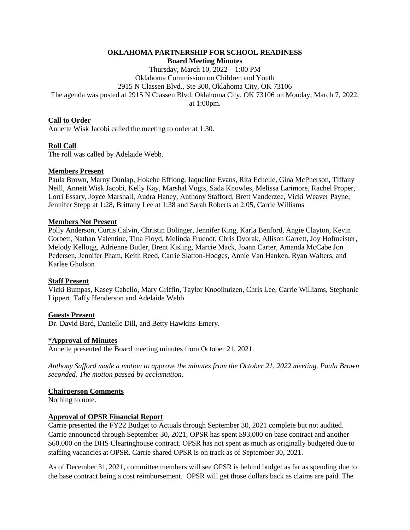#### **OKLAHOMA PARTNERSHIP FOR SCHOOL READINESS Board Meeting Minutes**

Thursday, March 10, 2022 – 1:00 PM Oklahoma Commission on Children and Youth 2915 N Classen Blvd., Ste 300, Oklahoma City, OK 73106 The agenda was posted at 2915 N Classen Blvd, Oklahoma City, OK 73106 on Monday, March 7, 2022, at 1:00pm.

# **Call to Order**

Annette Wisk Jacobi called the meeting to order at 1:30.

# **Roll Call**

The roll was called by Adelaide Webb.

# **Members Present**

Paula Brown, Marny Dunlap, Hokehe Effiong, Jaqueline Evans, Rita Echelle, Gina McPherson, Tiffany Neill, Annett Wisk Jacobi, Kelly Kay, Marshal Vogts, Sada Knowles, Melissa Larimore, Rachel Proper, Lorri Essary, Joyce Marshall, Audra Haney, Anthony Stafford, Brett Vanderzee, Vicki Weaver Payne, Jennifer Stepp at 1:28, Brittany Lee at 1:38 and Sarah Roberts at 2:05, Carrie Williams

### **Members Not Present**

Polly Anderson, Curtis Calvin, Christin Bolinger, Jennifer King, Karla Benford, Angie Clayton, Kevin Corbett, Nathan Valentine, Tina Floyd, Melinda Fruendt, Chris Dvorak, Allison Garrett, Joy Hofmeister, Melody Kellogg, Adrienne Butler, Brent Kisling, Marcie Mack, Joann Carter, Amanda McCabe Jon Pedersen, Jennifer Pham, Keith Reed, Carrie Slatton-Hodges, Annie Van Hanken, Ryan Walters, and Karlee Gholson

### **Staff Present**

Vicki Bumpas, Kasey Cabello, Mary Griffin, Taylor Knooihuizen, Chris Lee, Carrie Williams, Stephanie Lippert, Taffy Henderson and Adelaide Webb

### **Guests Present**

Dr. David Bard, Danielle Dill, and Betty Hawkins-Emery.

### **\*Approval of Minutes**

Annette presented the Board meeting minutes from October 21, 2021.

*Anthony Safford made a motion to approve the minutes from the October 21, 2022 meeting. Paula Brown seconded. The motion passed by acclamation.*

### **Chairperson Comments**

Nothing to note.

### **Approval of OPSR Financial Report**

Carrie presented the FY22 Budget to Actuals through September 30, 2021 complete but not audited. Carrie announced through September 30, 2021, OPSR has spent \$93,000 on base contract and another \$60,000 on the DHS Clearinghouse contract. OPSR has not spent as much as originally budgeted due to staffing vacancies at OPSR. Carrie shared OPSR is on track as of September 30, 2021.

As of December 31, 2021, committee members will see OPSR is behind budget as far as spending due to the base contract being a cost reimbursement. OPSR will get those dollars back as claims are paid. The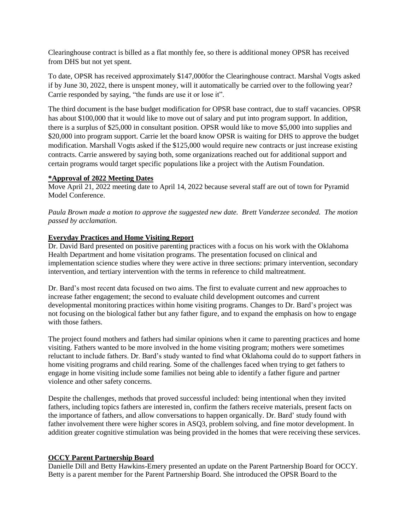Clearinghouse contract is billed as a flat monthly fee, so there is additional money OPSR has received from DHS but not yet spent.

To date, OPSR has received approximately \$147,000for the Clearinghouse contract. Marshal Vogts asked if by June 30, 2022, there is unspent money, will it automatically be carried over to the following year? Carrie responded by saying, "the funds are use it or lose it".

The third document is the base budget modification for OPSR base contract, due to staff vacancies. OPSR has about \$100,000 that it would like to move out of salary and put into program support. In addition, there is a surplus of \$25,000 in consultant position. OPSR would like to move \$5,000 into supplies and \$20,000 into program support. Carrie let the board know OPSR is waiting for DHS to approve the budget modification. Marshall Vogts asked if the \$125,000 would require new contracts or just increase existing contracts. Carrie answered by saying both, some organizations reached out for additional support and certain programs would target specific populations like a project with the Autism Foundation.

#### **\*Approval of 2022 Meeting Dates**

Move April 21, 2022 meeting date to April 14, 2022 because several staff are out of town for Pyramid Model Conference.

*Paula Brown made a motion to approve the suggested new date. Brett Vanderzee seconded. The motion passed by acclamation.* 

### **Everyday Practices and Home Visiting Report**

Dr. David Bard presented on positive parenting practices with a focus on his work with the Oklahoma Health Department and home visitation programs. The presentation focused on clinical and implementation science studies where they were active in three sections: primary intervention, secondary intervention, and tertiary intervention with the terms in reference to child maltreatment.

Dr. Bard's most recent data focused on two aims. The first to evaluate current and new approaches to increase father engagement; the second to evaluate child development outcomes and current developmental monitoring practices within home visiting programs. Changes to Dr. Bard's project was not focusing on the biological father but any father figure, and to expand the emphasis on how to engage with those fathers.

The project found mothers and fathers had similar opinions when it came to parenting practices and home visiting. Fathers wanted to be more involved in the home visiting program; mothers were sometimes reluctant to include fathers. Dr. Bard's study wanted to find what Oklahoma could do to support fathers in home visiting programs and child rearing. Some of the challenges faced when trying to get fathers to engage in home visiting include some families not being able to identify a father figure and partner violence and other safety concerns.

Despite the challenges, methods that proved successful included: being intentional when they invited fathers, including topics fathers are interested in, confirm the fathers receive materials, present facts on the importance of fathers, and allow conversations to happen organically. Dr. Bard' study found with father involvement there were higher scores in ASQ3, problem solving, and fine motor development. In addition greater cognitive stimulation was being provided in the homes that were receiving these services.

### **OCCY Parent Partnership Board**

Danielle Dill and Betty Hawkins-Emery presented an update on the Parent Partnership Board for OCCY. Betty is a parent member for the Parent Partnership Board. She introduced the OPSR Board to the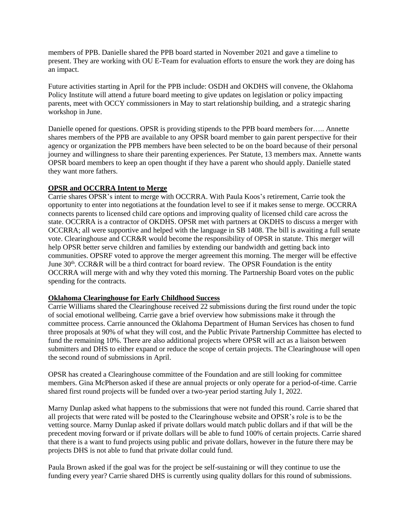members of PPB. Danielle shared the PPB board started in November 2021 and gave a timeline to present. They are working with OU E-Team for evaluation efforts to ensure the work they are doing has an impact.

Future activities starting in April for the PPB include: OSDH and OKDHS will convene, the Oklahoma Policy Institute will attend a future board meeting to give updates on legislation or policy impacting parents, meet with OCCY commissioners in May to start relationship building, and a strategic sharing workshop in June.

Danielle opened for questions. OPSR is providing stipends to the PPB board members for….. Annette shares members of the PPB are available to any OPSR board member to gain parent perspective for their agency or organization the PPB members have been selected to be on the board because of their personal journey and willingness to share their parenting experiences. Per Statute, 13 members max. Annette wants OPSR board members to keep an open thought if they have a parent who should apply. Danielle stated they want more fathers.

### **OPSR and OCCRRA Intent to Merge**

Carrie shares OPSR's intent to merge with OCCRRA. With Paula Koos's retirement, Carrie took the opportunity to enter into negotiations at the foundation level to see if it makes sense to merge. OCCRRA connects parents to licensed child care options and improving quality of licensed child care across the state. OCCRRA is a contractor of OKDHS. OPSR met with partners at OKDHS to discuss a merger with OCCRRA; all were supportive and helped with the language in SB 1408. The bill is awaiting a full senate vote. Clearinghouse and CCR&R would become the responsibility of OPSR in statute. This merger will help OPSR better serve children and families by extending our bandwidth and getting back into communities. OPSRF voted to approve the merger agreement this morning. The merger will be effective June  $30<sup>th</sup>$ . CCR&R will be a third contract for board review. The OPSR Foundation is the entity OCCRRA will merge with and why they voted this morning. The Partnership Board votes on the public spending for the contracts.

### **Oklahoma Clearinghouse for Early Childhood Success**

Carrie Williams shared the Clearinghouse received 22 submissions during the first round under the topic of social emotional wellbeing. Carrie gave a brief overview how submissions make it through the committee process. Carrie announced the Oklahoma Department of Human Services has chosen to fund three proposals at 90% of what they will cost, and the Public Private Partnership Committee has elected to fund the remaining 10%. There are also additional projects where OPSR will act as a liaison between submitters and DHS to either expand or reduce the scope of certain projects. The Clearinghouse will open the second round of submissions in April.

OPSR has created a Clearinghouse committee of the Foundation and are still looking for committee members. Gina McPherson asked if these are annual projects or only operate for a period-of-time. Carrie shared first round projects will be funded over a two-year period starting July 1, 2022.

Marny Dunlap asked what happens to the submissions that were not funded this round. Carrie shared that all projects that were rated will be posted to the Clearinghouse website and OPSR's role is to be the vetting source. Marny Dunlap asked if private dollars would match public dollars and if that will be the precedent moving forward or if private dollars will be able to fund 100% of certain projects. Carrie shared that there is a want to fund projects using public and private dollars, however in the future there may be projects DHS is not able to fund that private dollar could fund.

Paula Brown asked if the goal was for the project be self-sustaining or will they continue to use the funding every year? Carrie shared DHS is currently using quality dollars for this round of submissions.